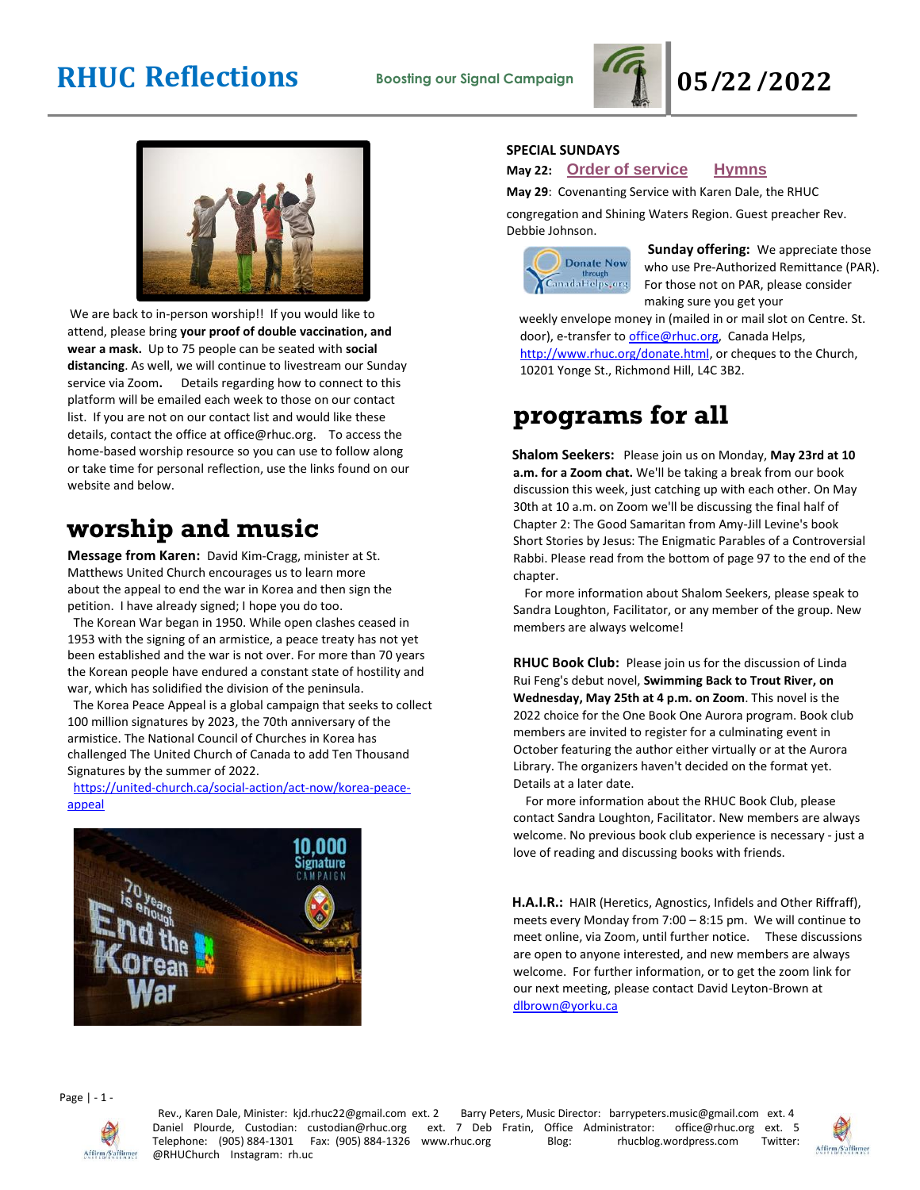



We are back to in-person worship!! If you would like to attend, please bring **your proof of double vaccination, and wear a mask.** Up to 75 people can be seated with **social distancing**. As well, we will continue to livestream our Sunday service via Zoom**.** Details regarding how to connect to this platform will be emailed each week to those on our contact list. If you are not on our contact list and would like these details, contact the office at office@rhuc.org. To access the home-based worship resource so you can use to follow along or take time for personal reflection, use the links found on our website and below.

# **worship and music**

**Message from Karen:** David Kim-Cragg, minister at St. Matthews United Church encourages us to learn more about the appeal to end the war in Korea and then sign the petition. I have already signed; I hope you do too.

The Korean War began in 1950. While open clashes ceased in 1953 with the signing of an armistice, a peace treaty has not yet been established and the war is not over. For more than 70 years the Korean people have endured a constant state of hostility and war, which has solidified the division of the peninsula.

The Korea Peace Appeal is a global campaign that seeks to collect 100 million signatures by 2023, the 70th anniversary of the armistice. The National Council of Churches in Korea has challenged The United Church of Canada to add Ten Thousand Signatures by the summer of 2022.

[https://united-church.ca/social-action/act-now/korea-peace](https://united-church.ca/social-action/act-now/korea-peace-appeal)[appeal](https://united-church.ca/social-action/act-now/korea-peace-appeal)



### **SPECIAL SUNDAYS**

### **May 22: Order of [service](http://rhuc.org/May%2022%20OofS%20(1).pdf) [Hymns](http://rhuc.org/Hymns%20for%202022%2005%2022.pdf)**

**May 29**: Covenanting Service with Karen Dale, the RHUC

congregation and Shining Waters Region. Guest preacher Rev. Debbie Johnson.



**Sunday offering:** We appreciate those who use Pre-Authorized Remittance (PAR). For those not on PAR, please consider making sure you get your

weekly envelope money in (mailed in or mail slot on Centre. St. door), e-transfer to office@rhuc.org, Canada Helps,

[http://www.rhuc.org/donate.html,](http://www.rhuc.org/donate.html) or cheques to the Church, 10201 Yonge St., Richmond Hill, L4C 3B2.

# **programs for all**

**Shalom Seekers:** Please join us on Monday, **May 23rd at 10 a.m. for a Zoom chat.** We'll be taking a break from our book discussion this week, just catching up with each other. On May 30th at 10 a.m. on Zoom we'll be discussing the final half of Chapter 2: The Good Samaritan from Amy-Jill Levine's book Short Stories by Jesus: The Enigmatic Parables of a Controversial Rabbi. Please read from the bottom of page 97 to the end of the chapter.

 For more information about Shalom Seekers, please speak to Sandra Loughton, Facilitator, or any member of the group. New members are always welcome!

**RHUC Book Club:** Please join us for the discussion of Linda Rui Feng's debut novel, **Swimming Back to Trout River, on Wednesday, May 25th at 4 p.m. on Zoom**. This novel is the 2022 choice for the One Book One Aurora program. Book club members are invited to register for a culminating event in October featuring the author either virtually or at the Aurora Library. The organizers haven't decided on the format yet. Details at a later date.

 For more information about the RHUC Book Club, please contact Sandra Loughton, Facilitator. New members are always welcome. No previous book club experience is necessary - just a love of reading and discussing books with friends.

**H.A.I.R.:** HAIR (Heretics, Agnostics, Infidels and Other Riffraff), meets every Monday from 7:00 – 8:15 pm. We will continue to meet online, via Zoom, until further notice.These discussions are open to anyone interested, and new members are always welcome. For further information, or to get the zoom link for our next meeting, please contact David Leyton-Brown at [dlbrown@yorku.ca](mailto:dlbrown@yorku.ca)

Page | - 1 -



Rev., Karen Dale, Minister: kjd.rhuc22@gmail.com ext. 2 Barry Peters, Music Director: barrypeters.music@gmail.com ext. 4 Daniel Plourde, Custodian: custodian@rhuc.org ext. 7 Deb Fratin, Office Administrator: office@rhuc.org ext. 5<br>Telephone: (905) 884-1301 Fax: (905) 884-1326 www.rhuc.org Blog: hucblog.wordpress.com Twitter: Telephone: (905) 884-1301 Fax: (905) 884-1326 www.rhuc.org @RHUChurch Instagram: rh.uc

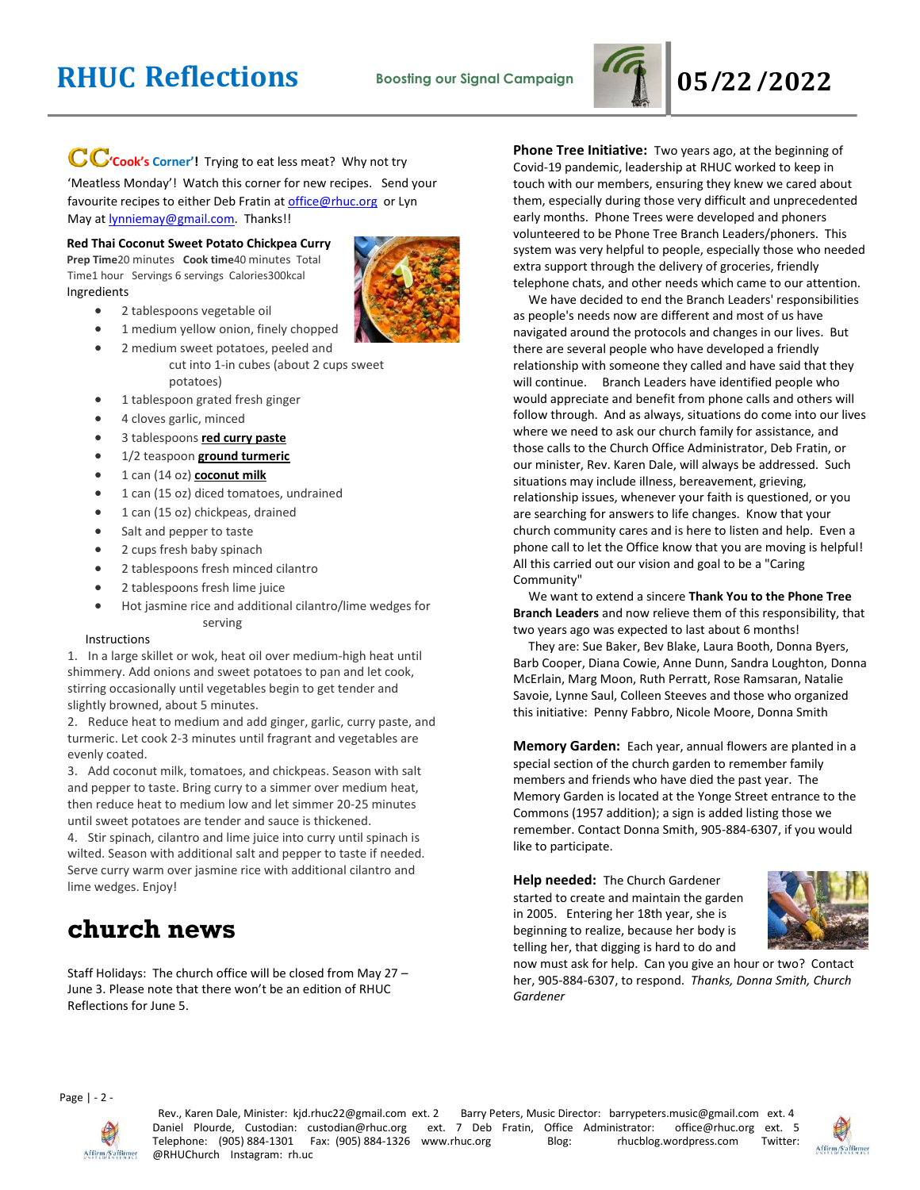

# CC'cook's Corner'! Trying to eat less meat? Why not try

'Meatless Monday'! Watch this corner for new recipes. Send your favourite recipes to either Deb Fratin at [office@rhuc.org](mailto:office@rhuc.org) or Lyn May a[t lynniemay@gmail.com.](mailto:lynniemay@gmail.com) Thanks!!

#### **Red Thai Coconut Sweet Potato Chickpea Curry**

**Prep Time**20 minutes **Cook time**40 minutes Total Time1 hour Servings 6 servings Calories300kcal Ingredients

- 2 tablespoons vegetable oil
- 1 medium yellow onion, finely chopped
- 2 medium sweet potatoes, peeled and cut into 1-in cubes (about 2 cups sweet potatoes)
- 1 tablespoon grated fresh ginger
- 4 cloves garlic, minced
- 3 tablespoons **[red curry paste](https://amzn.to/3ltOgnW)**
- 1/2 teaspoon **[ground turmeric](https://amzn.to/3pmaOJP)**
- 1 can (14 oz) **[coconut milk](https://amzn.to/3nlbTj8)**
- 1 can (15 oz) diced tomatoes, undrained
- 1 can (15 oz) chickpeas, drained
- Salt and pepper to taste
- 2 cups fresh baby spinach
- 2 tablespoons fresh minced cilantro
- 2 tablespoons fresh lime juice
- Hot jasmine rice and additional cilantro/lime wedges for serving

#### Instructions

1. In a large skillet or wok, heat oil over medium-high heat until shimmery. Add onions and sweet potatoes to pan and let cook, stirring occasionally until vegetables begin to get tender and slightly browned, about 5 minutes.

2. Reduce heat to medium and add ginger, garlic, curry paste, and turmeric. Let cook 2-3 minutes until fragrant and vegetables are evenly coated.

3. Add coconut milk, tomatoes, and chickpeas. Season with salt and pepper to taste. Bring curry to a simmer over medium heat, then reduce heat to medium low and let simmer 20-25 minutes until sweet potatoes are tender and sauce is thickened.

4. Stir spinach, cilantro and lime juice into curry until spinach is wilted. Season with additional salt and pepper to taste if needed. Serve curry warm over jasmine rice with additional cilantro and lime wedges. Enjoy!

### **church news**

Staff Holidays: The church office will be closed from May 27 – June 3. Please note that there won't be an edition of RHUC Reflections for June 5.

**Phone Tree Initiative:** Two years ago, at the beginning of Covid-19 pandemic, leadership at RHUC worked to keep in touch with our members, ensuring they knew we cared about them, especially during those very difficult and unprecedented early months. Phone Trees were developed and phoners volunteered to be Phone Tree Branch Leaders/phoners. This system was very helpful to people, especially those who needed extra support through the delivery of groceries, friendly telephone chats, and other needs which came to our attention.

 We have decided to end the Branch Leaders' responsibilities as people's needs now are different and most of us have navigated around the protocols and changes in our lives. But there are several people who have developed a friendly relationship with someone they called and have said that they will continue. Branch Leaders have identified people who would appreciate and benefit from phone calls and others will follow through. And as always, situations do come into our lives where we need to ask our church family for assistance, and those calls to the Church Office Administrator, Deb Fratin, or our minister, Rev. Karen Dale, will always be addressed. Such situations may include illness, bereavement, grieving, relationship issues, whenever your faith is questioned, or you are searching for answers to life changes. Know that your church community cares and is here to listen and help. Even a phone call to let the Office know that you are moving is helpful! All this carried out our vision and goal to be a "Caring Community"

 We want to extend a sincere **Thank You to the Phone Tree Branch Leaders** and now relieve them of this responsibility, that two years ago was expected to last about 6 months!

 They are: Sue Baker, Bev Blake, Laura Booth, Donna Byers, Barb Cooper, Diana Cowie, Anne Dunn, Sandra Loughton, Donna McErlain, Marg Moon, Ruth Perratt, Rose Ramsaran, Natalie Savoie, Lynne Saul, Colleen Steeves and those who organized this initiative: Penny Fabbro, Nicole Moore, Donna Smith

**Memory Garden:** Each year, annual flowers are planted in a special section of the church garden to remember family members and friends who have died the past year. The Memory Garden is located at the Yonge Street entrance to the Commons (1957 addition); a sign is added listing those we remember. Contact Donna Smith, 905-884-6307, if you would like to participate.

**Help needed:** The Church Gardener started to create and maintain the garden in 2005. Entering her 18th year, she is beginning to realize, because her body is telling her, that digging is hard to do and



now must ask for help. Can you give an hour or two? Contact her, 905-884-6307, to respond. *Thanks, Donna Smith, Church Gardener*

Page | - 2 -



Rev., Karen Dale, Minister: kjd.rhuc22@gmail.com ext. 2 Barry Peters, Music Director: barrypeters.music@gmail.com ext. 4 Daniel Plourde, Custodian: custodian@rhuc.org ext. 7 Deb Fratin, Office Administrator: office@rhuc.org ext. 5<br>Telephone: (905)884-1301 Fax: (905)884-1326 www.rhuc.org Blog: hucblog.wordpress.com Twitter: Telephone: (905) 884-1301 Fax: (905) 884-1326 www.rhuc.org @RHUChurch Instagram: rh.uc

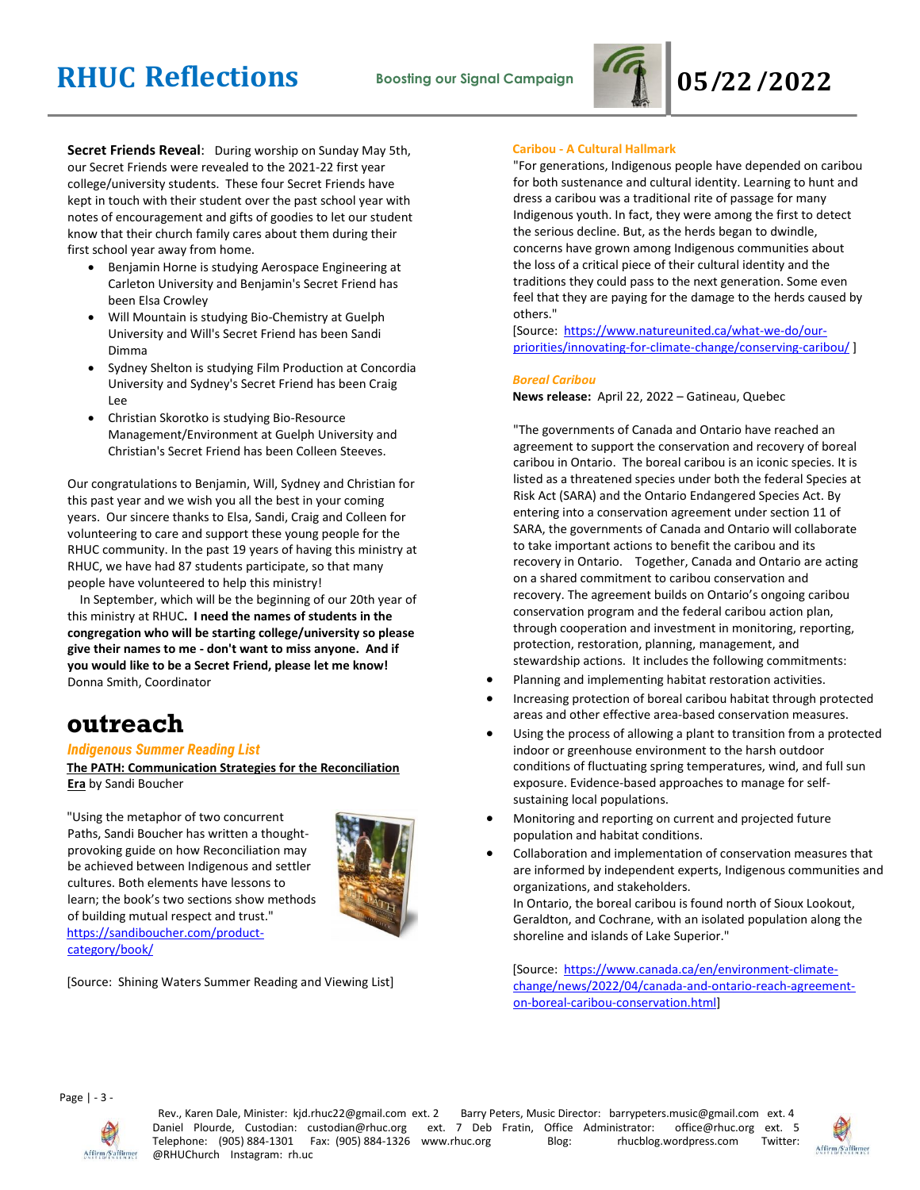

**Secret Friends Reveal**: During worship on Sunday May 5th, our Secret Friends were revealed to the 2021-22 first year college/university students. These four Secret Friends have kept in touch with their student over the past school year with notes of encouragement and gifts of goodies to let our student know that their church family cares about them during their first school year away from home.

- Benjamin Horne is studying Aerospace Engineering at Carleton University and Benjamin's Secret Friend has been Elsa Crowley
- Will Mountain is studying Bio-Chemistry at Guelph University and Will's Secret Friend has been Sandi Dimma
- Sydney Shelton is studying Film Production at Concordia University and Sydney's Secret Friend has been Craig Lee
- Christian Skorotko is studying Bio-Resource Management/Environment at Guelph University and Christian's Secret Friend has been Colleen Steeves.

Our congratulations to Benjamin, Will, Sydney and Christian for this past year and we wish you all the best in your coming years. Our sincere thanks to Elsa, Sandi, Craig and Colleen for volunteering to care and support these young people for the RHUC community. In the past 19 years of having this ministry at RHUC, we have had 87 students participate, so that many people have volunteered to help this ministry!

 In September, which will be the beginning of our 20th year of this ministry at RHUC**. I need the names of students in the congregation who will be starting college/university so please give their names to me - don't want to miss anyone. And if you would like to be a Secret Friend, please let me know!** Donna Smith, Coordinator

## **outreach**

#### *Indigenous Summer Reading List*

**The PATH: Communication Strategies for the Reconciliation Era** by Sandi Boucher

"Using the metaphor of two concurrent Paths, Sandi Boucher has written a thoughtprovoking guide on how Reconciliation may be achieved between Indigenous and settler cultures. Both elements have lessons to learn; the book's two sections show methods of building mutual respect and trust." [https://sandiboucher.com/product](https://sandiboucher.com/product-category/book/)[category/book/](https://sandiboucher.com/product-category/book/)



[Source: Shining Waters Summer Reading and Viewing List]

#### **Caribou - A Cultural Hallmark**

"For generations, Indigenous people have depended on caribou for both sustenance and cultural identity. Learning to hunt and dress a caribou was a traditional rite of passage for many Indigenous youth. In fact, they were among the first to detect the serious decline. But, as the herds began to dwindle, concerns have grown among Indigenous communities about the loss of a critical piece of their cultural identity and the traditions they could pass to the next generation. Some even feel that they are paying for the damage to the herds caused by others."

[Source: [https://www.natureunited.ca/what-we-do/our](https://www.natureunited.ca/what-we-do/our-priorities/innovating-for-climate-change/conserving-caribou/)[priorities/innovating-for-climate-change/conserving-caribou/](https://www.natureunited.ca/what-we-do/our-priorities/innovating-for-climate-change/conserving-caribou/) ]

#### *Boreal Caribou*

**News release:** April 22, 2022 – Gatineau, Quebec

"The governments of Canada and Ontario have reached an agreement to support the conservation and recovery of boreal caribou in Ontario. The boreal caribou is an iconic species. It is listed as a threatened species under both the federal Species at Risk Act (SARA) and the Ontario Endangered Species Act. By entering into a conservation agreement under section 11 of SARA, the governments of Canada and Ontario will collaborate to take important actions to benefit the caribou and its recovery in Ontario. Together, Canada and Ontario are acting on a shared commitment to caribou conservation and recovery. The agreement builds on Ontario's ongoing caribou conservation program and the federal caribou action plan, through cooperation and investment in monitoring, reporting, protection, restoration, planning, management, and stewardship actions. It includes the following commitments:

- Planning and implementing habitat restoration activities.
- Increasing protection of boreal caribou habitat through protected areas and other effective area-based conservation measures.
- Using the process of allowing a plant to transition from a protected indoor or greenhouse environment to the harsh outdoor conditions of fluctuating spring temperatures, wind, and full sun exposure. Evidence-based approaches to manage for selfsustaining local populations.
- Monitoring and reporting on current and projected future population and habitat conditions.
- Collaboration and implementation of conservation measures that are informed by independent experts, Indigenous communities and organizations, and stakeholders.

In Ontario, the boreal caribou is found north of Sioux Lookout, Geraldton, and Cochrane, with an isolated population along the shoreline and islands of Lake Superior."

[Source: [https://www.canada.ca/en/environment-climate](https://www.canada.ca/en/environment-climate-change/news/2022/04/canada-and-ontario-reach-agreement-on-boreal-caribou-conservation.html)[change/news/2022/04/canada-and-ontario-reach-agreement](https://www.canada.ca/en/environment-climate-change/news/2022/04/canada-and-ontario-reach-agreement-on-boreal-caribou-conservation.html)[on-boreal-caribou-conservation.html\]](https://www.canada.ca/en/environment-climate-change/news/2022/04/canada-and-ontario-reach-agreement-on-boreal-caribou-conservation.html)

Page | - 3 -



Rev., Karen Dale, Minister: kjd.rhuc22@gmail.com ext. 2 Barry Peters, Music Director: barrypeters.music@gmail.com ext. 4 Daniel Plourde, Custodian: custodian@rhuc.org ext. 7 Deb Fratin, Office Administrator: office@rhuc.org ext. 5<br>Telephone: (905) 884-1301 Fax: (905) 884-1326 www.rhuc.org Blog: hucblog.wordpress.com Twitter: Telephone: (905) 884-1301 Fax: (905) 884-1326 www.rhuc.org Blog: rhucblog.wordpress.com @RHUChurch Instagram: rh.uc